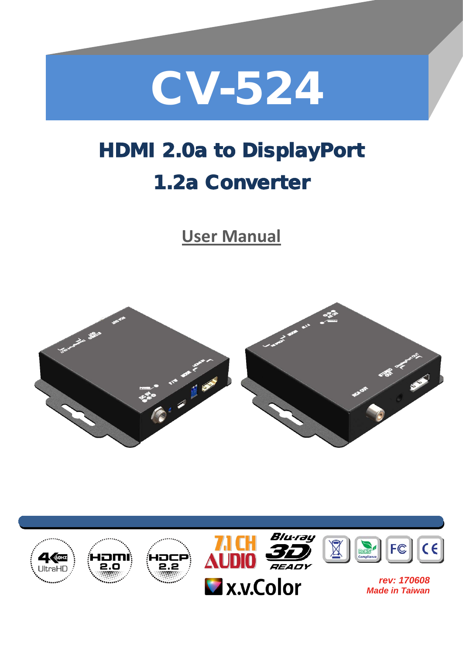

# HDMI 2.0a to DisplayPort 1.2a Converter

**User Manual**



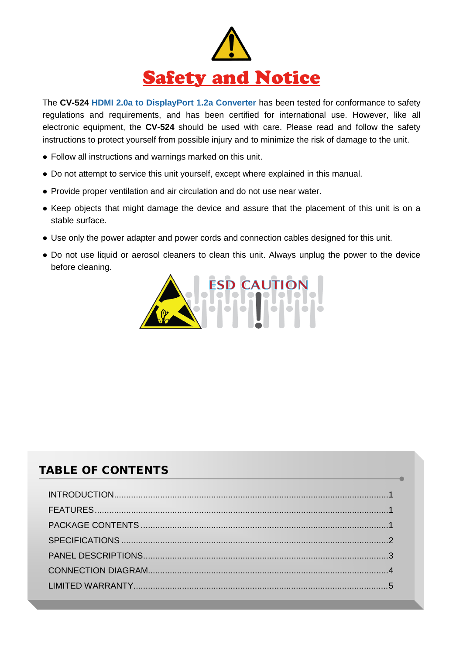

The **CV-524 HDMI 2.0a to DisplayPort 1.2a Converter** has been tested for conformance to safety regulations and requirements, and has been certified for international use. However, like all electronic equipment, the **CV-524** should be used with care. Please read and follow the safety instructions to protect yourself from possible injury and to minimize the risk of damage to the unit.

- Follow all instructions and warnings marked on this unit.
- Do not attempt to service this unit yourself, except where explained in this manual.
- Provide proper ventilation and air circulation and do not use near water.
- Keep objects that might damage the device and assure that the placement of this unit is on a stable surface.
- Use only the power adapter and power cords and connection cables designed for this unit.
- Do not use liquid or aerosol cleaners to clean this unit. Always unplug the power to the device before cleaning.



#### TABLE OF CONTENTS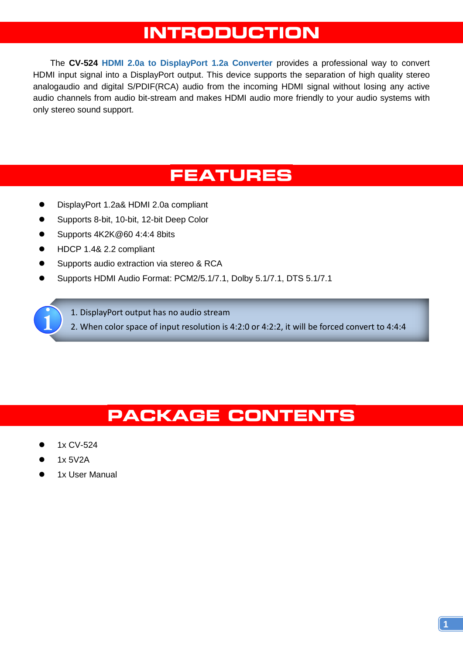### **INTRODUCTION**

<span id="page-2-0"></span>The **CV-524 HDMI 2.0a to DisplayPort 1.2a Converter** provides a professional way to convert HDMI input signal into a DisplayPort output. This device supports the separation of high quality stereo analogaudio and digital S/PDIF(RCA) audio from the incoming HDMI signal without losing any active audio channels from audio bit-stream and makes HDMI audio more friendly to your audio systems with only stereo sound support.

### **FEATURES**

- <span id="page-2-1"></span>DisplayPort 1.2a& HDMI 2.0a compliant
- Supports 8-bit, 10-bit, 12-bit Deep Color
- Supports 4K2K@60 4:4:4 8bits
- HDCP 1.4& 2.2 compliant
- Supports audio extraction via stereo & RCA
- Supports HDMI Audio Format: PCM2/5.1/7.1, Dolby 5.1/7.1, DTS 5.1/7.1

1. DisplayPort output has no audio stream

2. When color space of input resolution is 4:2:0 or 4:2:2, it will be forced convert to 4:4:4

### **PACKAGE CONTENTS**

- <span id="page-2-2"></span>1x CV-524
- 1x 5V2A
- 1x User Manual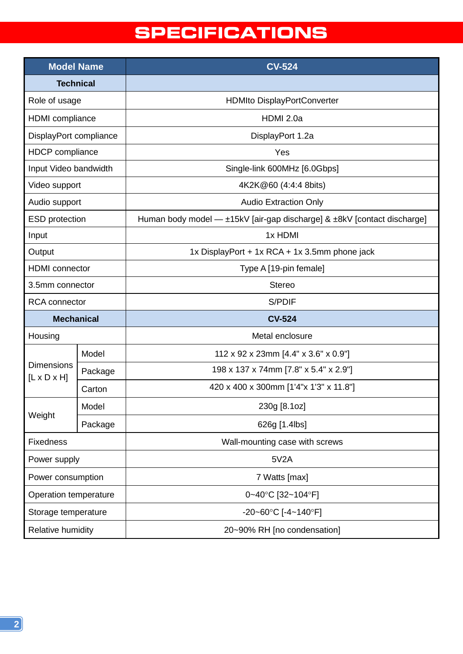## **SPECIFICATIONS**

<span id="page-3-0"></span>

| <b>Model Name</b>                            |         | <b>CV-524</b>                                                           |
|----------------------------------------------|---------|-------------------------------------------------------------------------|
| <b>Technical</b>                             |         |                                                                         |
| Role of usage                                |         | <b>HDMIto DisplayPortConverter</b>                                      |
| <b>HDMI</b> compliance                       |         | HDMI 2.0a                                                               |
| DisplayPort compliance                       |         | DisplayPort 1.2a                                                        |
| <b>HDCP</b> compliance                       |         | Yes                                                                     |
| Input Video bandwidth                        |         | Single-link 600MHz [6.0Gbps]                                            |
| Video support                                |         | 4K2K@60 (4:4:4 8bits)                                                   |
| Audio support                                |         | <b>Audio Extraction Only</b>                                            |
| <b>ESD</b> protection                        |         | Human body model - ±15kV [air-gap discharge] & ±8kV [contact discharge] |
| Input                                        |         | 1x HDMI                                                                 |
| Output                                       |         | 1x DisplayPort + 1x RCA + 1x 3.5mm phone jack                           |
| <b>HDMI</b> connector                        |         | Type A [19-pin female]                                                  |
| 3.5mm connector                              |         | <b>Stereo</b>                                                           |
| <b>RCA</b> connector                         |         | S/PDIF                                                                  |
| <b>Mechanical</b>                            |         | <b>CV-524</b>                                                           |
| Housing                                      |         | Metal enclosure                                                         |
| <b>Dimensions</b><br>$[L \times D \times H]$ | Model   | 112 x 92 x 23mm [4.4" x 3.6" x 0.9"]                                    |
|                                              | Package | 198 x 137 x 74mm [7.8" x 5.4" x 2.9"]                                   |
|                                              | Carton  | 420 x 400 x 300mm [1'4"x 1'3" x 11.8"]                                  |
| Weight                                       | Model   | 230g [8.1oz]                                                            |
|                                              | Package | 626g [1.4lbs]                                                           |
| <b>Fixedness</b>                             |         | Wall-mounting case with screws                                          |
| Power supply                                 |         | 5V2A                                                                    |
| Power consumption                            |         | 7 Watts [max]                                                           |
| Operation temperature                        |         | 0~40°C [32~104°F]                                                       |
| Storage temperature                          |         | -20~60°C [-4~140°F]                                                     |
| Relative humidity                            |         | 20~90% RH [no condensation]                                             |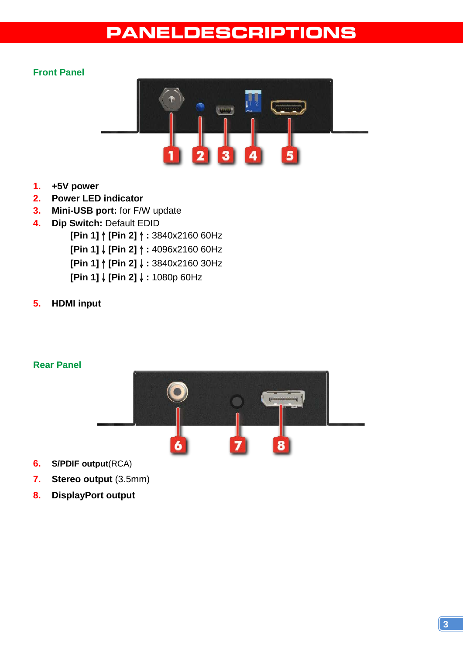### **PANELDESCRIPTIONS**

#### <span id="page-4-0"></span>**Front Panel**



- **1. +5V power**
- **2. Power LED indicator**
- **3. Mini-USB port:** for F/W update
- **4. Dip Switch:** Default EDID **[Pin 1]**↑**[Pin 2]**↑**:** 3840x2160 60Hz **[Pin 1]**↓**[Pin 2]**↑**:** 4096x2160 60Hz **[Pin 1]**↑**[Pin 2]**↓**:** 3840x2160 30Hz **[Pin 1]**↓**[Pin 2]**↓**:** 1080p 60Hz
- **5. HDMI input**

#### **Rear Panel**



- **6. S/PDIF output**(RCA)
- **7. Stereo output** (3.5mm)
- **8. DisplayPort output**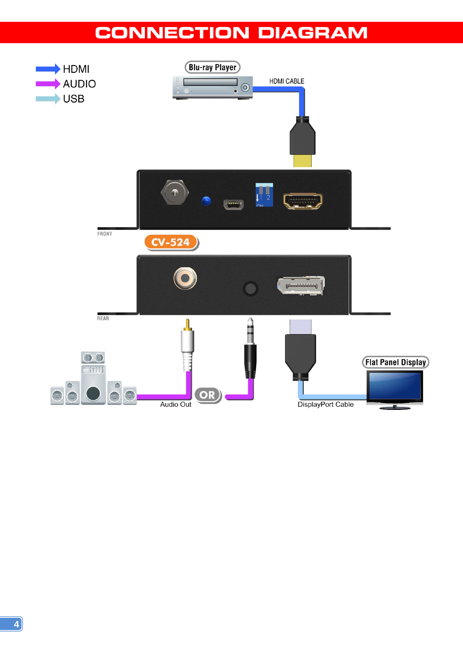### **CONNECTION DIAGRAM**

<span id="page-5-0"></span>